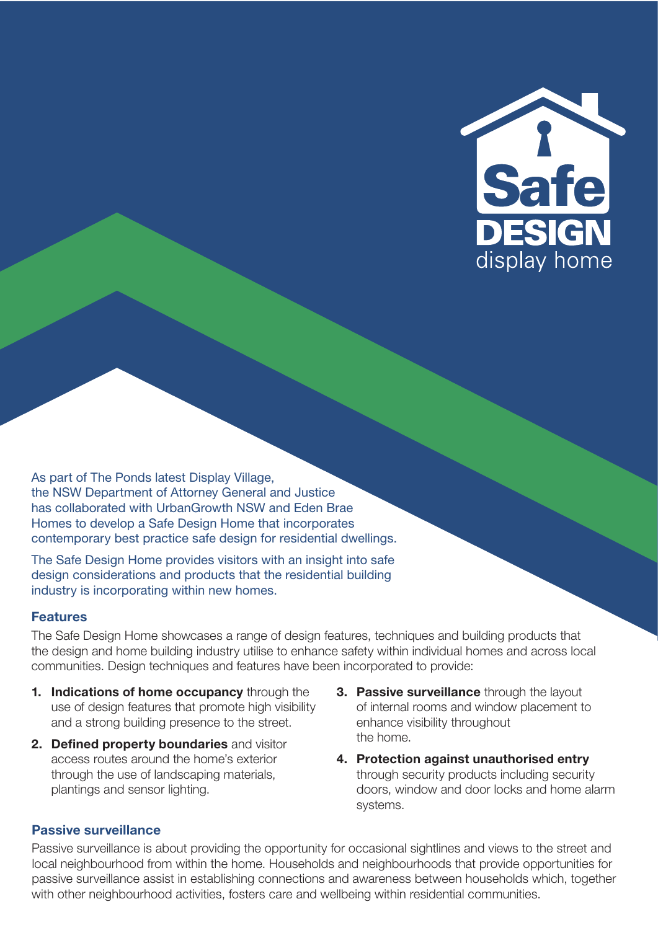

As part of The Ponds latest Display Village, the NSW Department of Attorney General and Justice has collaborated with UrbanGrowth NSW and Eden Brae Homes to develop a Safe Design Home that incorporates contemporary best practice safe design for residential dwellings.

The Safe Design Home provides visitors with an insight into safe design considerations and products that the residential building industry is incorporating within new homes.

#### Features

The Safe Design Home showcases a range of design features, techniques and building products that the design and home building industry utilise to enhance safety within individual homes and across local communities. Design techniques and features have been incorporated to provide:

- 1. Indications of home occupancy through the use of design features that promote high visibility and a strong building presence to the street.
- 2. Defined property boundaries and visitor access routes around the home's exterior through the use of landscaping materials, plantings and sensor lighting.
- **3. Passive surveillance** through the layout of internal rooms and window placement to enhance visibility throughout the home.
- 4. Protection against unauthorised entry through security products including security doors, window and door locks and home alarm systems.

#### Passive surveillance

Passive surveillance is about providing the opportunity for occasional sightlines and views to the street and local neighbourhood from within the home. Households and neighbourhoods that provide opportunities for passive surveillance assist in establishing connections and awareness between households which, together with other neighbourhood activities, fosters care and wellbeing within residential communities.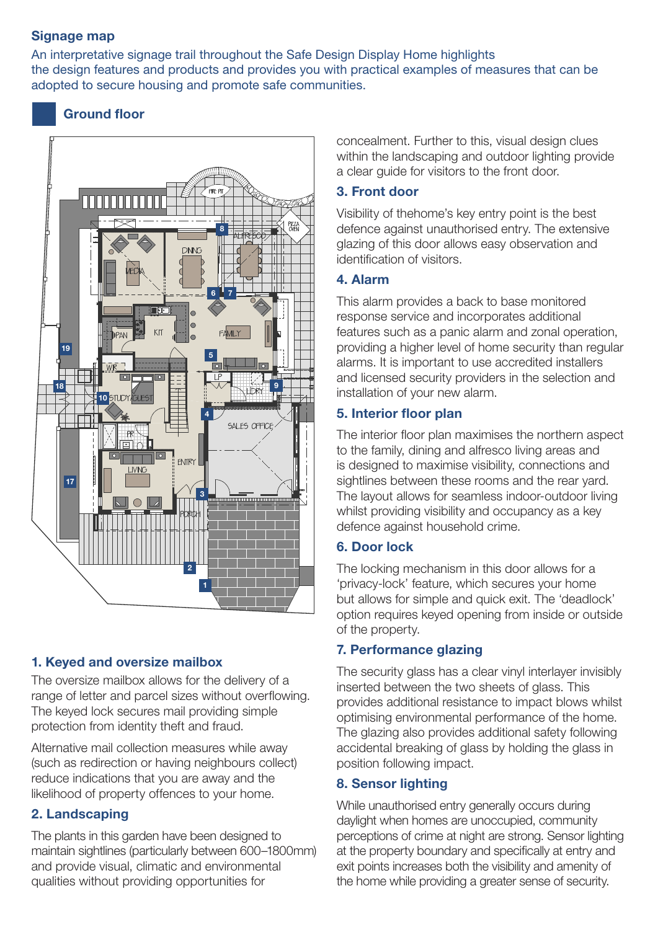## Signage map

An interpretative signage trail throughout the Safe Design Display Home highlights the design features and products and provides you with practical examples of measures that can be adopted to secure housing and promote safe communities.

# Ground floor



# 1. Keyed and oversize mailbox

The oversize mailbox allows for the delivery of a range of letter and parcel sizes without overflowing. The keyed lock secures mail providing simple protection from identity theft and fraud.

Alternative mail collection measures while away (such as redirection or having neighbours collect) reduce indications that you are away and the likelihood of property offences to your home.

# 2. Landscaping

The plants in this garden have been designed to maintain sightlines (particularly between 600–1800mm) and provide visual, climatic and environmental qualities without providing opportunities for

concealment. Further to this, visual design clues within the landscaping and outdoor lighting provide a clear guide for visitors to the front door.

# 3. Front door

Visibility of thehome's key entry point is the best defence against unauthorised entry. The extensive glazing of this door allows easy observation and identification of visitors.

## 4. Alarm

This alarm provides a back to base monitored response service and incorporates additional features such as a panic alarm and zonal operation, providing a higher level of home security than regular alarms. It is important to use accredited installers and licensed security providers in the selection and installation of your new alarm.

# 5. Interior floor plan

The interior floor plan maximises the northern aspect to the family, dining and alfresco living areas and is designed to maximise visibility, connections and sightlines between these rooms and the rear yard. The layout allows for seamless indoor-outdoor living whilst providing visibility and occupancy as a key defence against household crime.

## 6. Door lock

The locking mechanism in this door allows for a 'privacy-lock' feature, which secures your home but allows for simple and quick exit. The 'deadlock' option requires keyed opening from inside or outside of the property.

## 7. Performance glazing

The security glass has a clear vinyl interlayer invisibly inserted between the two sheets of glass. This provides additional resistance to impact blows whilst optimising environmental performance of the home. The glazing also provides additional safety following accidental breaking of glass by holding the glass in position following impact.

## 8. Sensor lighting

While unauthorised entry generally occurs during daylight when homes are unoccupied, community perceptions of crime at night are strong. Sensor lighting at the property boundary and specifically at entry and exit points increases both the visibility and amenity of the home while providing a greater sense of security.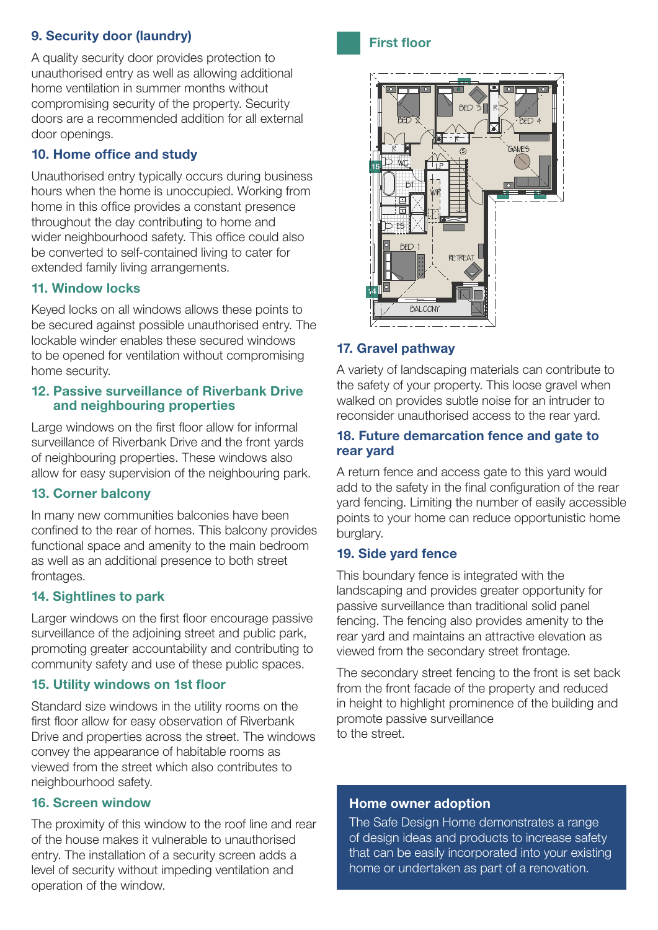# 9. Security door (laundry)

A quality security door provides protection to unauthorised entry as well as allowing additional home ventilation in summer months without compromising security of the property. Security doors are a recommended addition for all external door openings.

## 10. Home office and study

Unauthorised entry typically occurs during business hours when the home is unoccupied. Working from home in this office provides a constant presence throughout the day contributing to home and wider neighbourhood safety. This office could also be converted to self-contained living to cater for extended family living arrangements.

## 11. Window locks

Keyed locks on all windows allows these points to be secured against possible unauthorised entry. The lockable winder enables these secured windows to be opened for ventilation without compromising home security.

#### 12. Passive surveillance of Riverbank Drive and neighbouring properties

Large windows on the first floor allow for informal surveillance of Riverbank Drive and the front yards of neighbouring properties. These windows also allow for easy supervision of the neighbouring park.

#### 13. Corner balcony

In many new communities balconies have been confined to the rear of homes. This balcony provides functional space and amenity to the main bedroom as well as an additional presence to both street frontages.

## 14. Sightlines to park

Larger windows on the first floor encourage passive surveillance of the adjoining street and public park, promoting greater accountability and contributing to community safety and use of these public spaces.

#### 15. Utility windows on 1st floor

Standard size windows in the utility rooms on the first floor allow for easy observation of Riverbank Drive and properties across the street. The windows convey the appearance of habitable rooms as viewed from the street which also contributes to neighbourhood safety.

#### 16. Screen window

The proximity of this window to the roof line and rear of the house makes it vulnerable to unauthorised entry. The installation of a security screen adds a level of security without impeding ventilation and operation of the window.





### 17. Gravel pathway

A variety of landscaping materials can contribute to the safety of your property. This loose gravel when walked on provides subtle noise for an intruder to reconsider unauthorised access to the rear yard.

#### 18. Future demarcation fence and gate to rear yard

A return fence and access gate to this yard would add to the safety in the final configuration of the rear yard fencing. Limiting the number of easily accessible points to your home can reduce opportunistic home burglary.

## 19. Side yard fence

This boundary fence is integrated with the landscaping and provides greater opportunity for passive surveillance than traditional solid panel fencing. The fencing also provides amenity to the rear yard and maintains an attractive elevation as viewed from the secondary street frontage.

The secondary street fencing to the front is set back from the front facade of the property and reduced in height to highlight prominence of the building and promote passive surveillance to the street.

#### Home owner adoption

The Safe Design Home demonstrates a range of design ideas and products to increase safety that can be easily incorporated into your existing home or undertaken as part of a renovation.